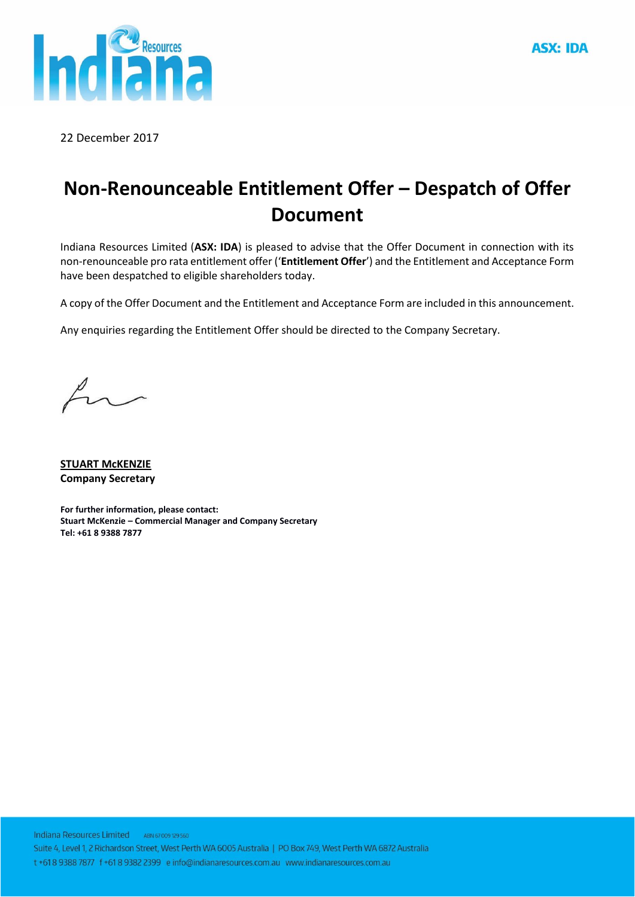

22 December 2017

# **Non-Renounceable Entitlement Offer – Despatch of Offer Document**

Indiana Resources Limited (**ASX: IDA**) is pleased to advise that the Offer Document in connection with its non-renounceable pro rata entitlement offer ('**Entitlement Offer**') and the Entitlement and Acceptance Form have been despatched to eligible shareholders today.

A copy of the Offer Document and the Entitlement and Acceptance Form are included in this announcement.

Any enquiries regarding the Entitlement Offer should be directed to the Company Secretary.

 $b^{\prime}$ 

**STUART McKENZIE Company Secretary**

**For further information, please contact: Stuart McKenzie – Commercial Manager and Company Secretary Tel: +61 8 9388 7877**

Indiana Resources Limited ABN 67009 129 560 Suite 4, Level 1, 2 Richardson Street, West Perth WA 6005 Australia | PO Box 749, West Perth WA 6872 Australia t +618 9388 7877 f +61 8 9382 2399 e info@indianaresources.com.au www.indianaresources.com.au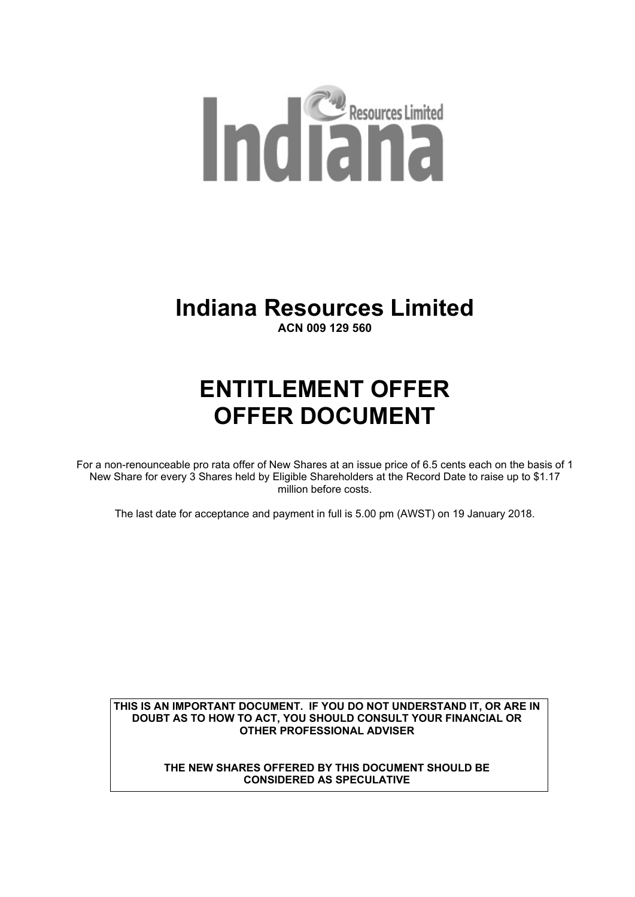

# **Indiana Resources Limited**

**ACN 009 129 560**

# **ENTITLEMENT OFFER OFFER DOCUMENT**

For a non-renounceable pro rata offer of New Shares at an issue price of 6.5 cents each on the basis of 1 New Share for every 3 Shares held by Eligible Shareholders at the Record Date to raise up to \$1.17 million before costs.

The last date for acceptance and payment in full is 5.00 pm (AWST) on 19 January 2018.

**THIS IS AN IMPORTANT DOCUMENT. IF YOU DO NOT UNDERSTAND IT, OR ARE IN DOUBT AS TO HOW TO ACT, YOU SHOULD CONSULT YOUR FINANCIAL OR OTHER PROFESSIONAL ADVISER** 

> **THE NEW SHARES OFFERED BY THIS DOCUMENT SHOULD BE CONSIDERED AS SPECULATIVE**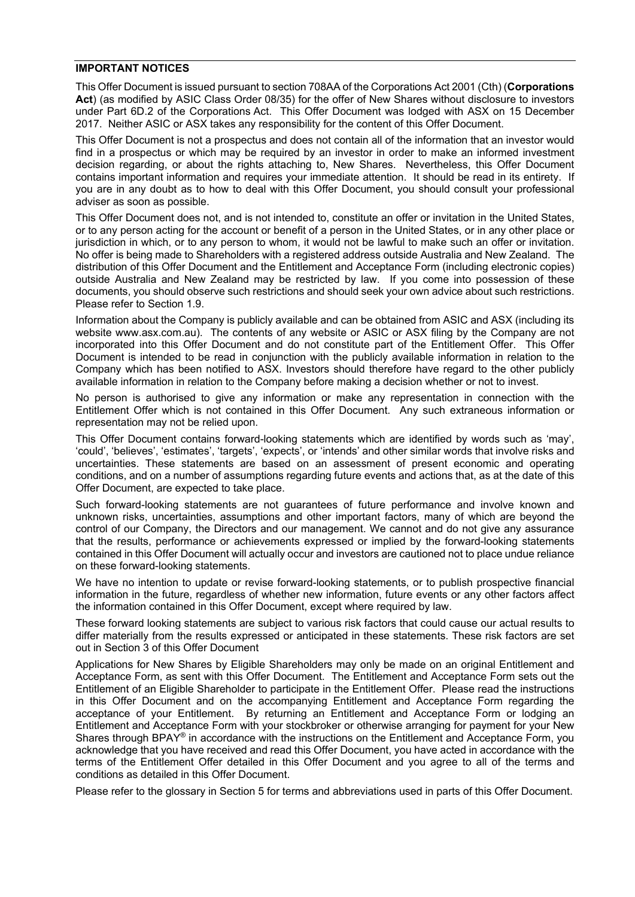#### **IMPORTANT NOTICES**

This Offer Document is issued pursuant to section 708AA of the Corporations Act 2001 (Cth) (**Corporations**  Act) (as modified by ASIC Class Order 08/35) for the offer of New Shares without disclosure to investors under Part 6D.2 of the Corporations Act. This Offer Document was lodged with ASX on 15 December 2017. Neither ASIC or ASX takes any responsibility for the content of this Offer Document.

This Offer Document is not a prospectus and does not contain all of the information that an investor would find in a prospectus or which may be required by an investor in order to make an informed investment decision regarding, or about the rights attaching to, New Shares. Nevertheless, this Offer Document contains important information and requires your immediate attention. It should be read in its entirety. If you are in any doubt as to how to deal with this Offer Document, you should consult your professional adviser as soon as possible.

This Offer Document does not, and is not intended to, constitute an offer or invitation in the United States, or to any person acting for the account or benefit of a person in the United States, or in any other place or jurisdiction in which, or to any person to whom, it would not be lawful to make such an offer or invitation. No offer is being made to Shareholders with a registered address outside Australia and New Zealand. The distribution of this Offer Document and the Entitlement and Acceptance Form (including electronic copies) outside Australia and New Zealand may be restricted by law. If you come into possession of these documents, you should observe such restrictions and should seek your own advice about such restrictions. Please refer to Section 1.9.

Information about the Company is publicly available and can be obtained from ASIC and ASX (including its website www.asx.com.au). The contents of any website or ASIC or ASX filing by the Company are not incorporated into this Offer Document and do not constitute part of the Entitlement Offer. This Offer Document is intended to be read in conjunction with the publicly available information in relation to the Company which has been notified to ASX. Investors should therefore have regard to the other publicly available information in relation to the Company before making a decision whether or not to invest.

No person is authorised to give any information or make any representation in connection with the Entitlement Offer which is not contained in this Offer Document. Any such extraneous information or representation may not be relied upon.

This Offer Document contains forward-looking statements which are identified by words such as 'may', 'could', 'believes', 'estimates', 'targets', 'expects', or 'intends' and other similar words that involve risks and uncertainties. These statements are based on an assessment of present economic and operating conditions, and on a number of assumptions regarding future events and actions that, as at the date of this Offer Document, are expected to take place.

Such forward-looking statements are not guarantees of future performance and involve known and unknown risks, uncertainties, assumptions and other important factors, many of which are beyond the control of our Company, the Directors and our management. We cannot and do not give any assurance that the results, performance or achievements expressed or implied by the forward-looking statements contained in this Offer Document will actually occur and investors are cautioned not to place undue reliance on these forward-looking statements.

We have no intention to update or revise forward-looking statements, or to publish prospective financial information in the future, regardless of whether new information, future events or any other factors affect the information contained in this Offer Document, except where required by law.

These forward looking statements are subject to various risk factors that could cause our actual results to differ materially from the results expressed or anticipated in these statements. These risk factors are set out in Section 3 of this Offer Document

Applications for New Shares by Eligible Shareholders may only be made on an original Entitlement and Acceptance Form, as sent with this Offer Document. The Entitlement and Acceptance Form sets out the Entitlement of an Eligible Shareholder to participate in the Entitlement Offer. Please read the instructions in this Offer Document and on the accompanying Entitlement and Acceptance Form regarding the acceptance of your Entitlement. By returning an Entitlement and Acceptance Form or lodging an Entitlement and Acceptance Form with your stockbroker or otherwise arranging for payment for your New Shares through BPAY<sup>®</sup> in accordance with the instructions on the Entitlement and Acceptance Form, you acknowledge that you have received and read this Offer Document, you have acted in accordance with the terms of the Entitlement Offer detailed in this Offer Document and you agree to all of the terms and conditions as detailed in this Offer Document.

Please refer to the glossary in Section 5 for terms and abbreviations used in parts of this Offer Document.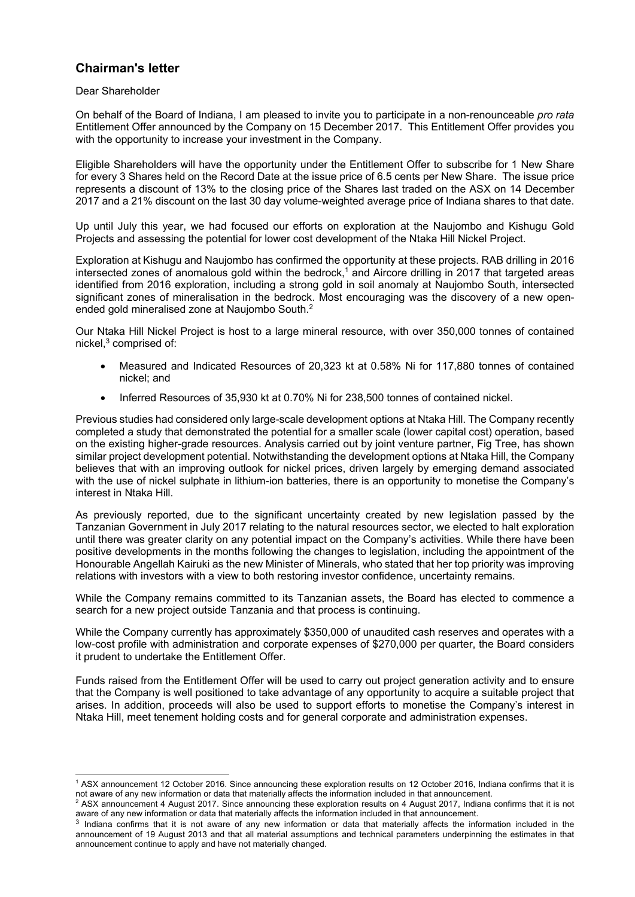### **Chairman's letter**

#### Dear Shareholder

On behalf of the Board of Indiana, I am pleased to invite you to participate in a non-renounceable *pro rata* Entitlement Offer announced by the Company on 15 December 2017. This Entitlement Offer provides you with the opportunity to increase your investment in the Company.

Eligible Shareholders will have the opportunity under the Entitlement Offer to subscribe for 1 New Share for every 3 Shares held on the Record Date at the issue price of 6.5 cents per New Share. The issue price represents a discount of 13% to the closing price of the Shares last traded on the ASX on 14 December 2017 and a 21% discount on the last 30 day volume-weighted average price of Indiana shares to that date.

Up until July this year, we had focused our efforts on exploration at the Naujombo and Kishugu Gold Projects and assessing the potential for lower cost development of the Ntaka Hill Nickel Project.

Exploration at Kishugu and Naujombo has confirmed the opportunity at these projects. RAB drilling in 2016 intersected zones of anomalous gold within the bedrock,<sup>1</sup> and Aircore drilling in 2017 that targeted areas identified from 2016 exploration, including a strong gold in soil anomaly at Naujombo South, intersected significant zones of mineralisation in the bedrock. Most encouraging was the discovery of a new openended gold mineralised zone at Naujombo South.2

Our Ntaka Hill Nickel Project is host to a large mineral resource, with over 350,000 tonnes of contained nickel,<sup>3</sup> comprised of:

- Measured and Indicated Resources of 20,323 kt at 0.58% Ni for 117,880 tonnes of contained nickel; and
- Inferred Resources of 35,930 kt at 0.70% Ni for 238,500 tonnes of contained nickel.

Previous studies had considered only large-scale development options at Ntaka Hill. The Company recently completed a study that demonstrated the potential for a smaller scale (lower capital cost) operation, based on the existing higher-grade resources. Analysis carried out by joint venture partner, Fig Tree, has shown similar project development potential. Notwithstanding the development options at Ntaka Hill, the Company believes that with an improving outlook for nickel prices, driven largely by emerging demand associated with the use of nickel sulphate in lithium-ion batteries, there is an opportunity to monetise the Company's interest in Ntaka Hill.

As previously reported, due to the significant uncertainty created by new legislation passed by the Tanzanian Government in July 2017 relating to the natural resources sector, we elected to halt exploration until there was greater clarity on any potential impact on the Company's activities. While there have been positive developments in the months following the changes to legislation, including the appointment of the Honourable Angellah Kairuki as the new Minister of Minerals, who stated that her top priority was improving relations with investors with a view to both restoring investor confidence, uncertainty remains.

While the Company remains committed to its Tanzanian assets, the Board has elected to commence a search for a new project outside Tanzania and that process is continuing.

While the Company currently has approximately \$350,000 of unaudited cash reserves and operates with a low-cost profile with administration and corporate expenses of \$270,000 per quarter, the Board considers it prudent to undertake the Entitlement Offer.

Funds raised from the Entitlement Offer will be used to carry out project generation activity and to ensure that the Company is well positioned to take advantage of any opportunity to acquire a suitable project that arises. In addition, proceeds will also be used to support efforts to monetise the Company's interest in Ntaka Hill, meet tenement holding costs and for general corporate and administration expenses.

<sup>1</sup> 1 ASX announcement 12 October 2016. Since announcing these exploration results on 12 October 2016, Indiana confirms that it is not aware of any new information or data that materially affects the information included in that announcement.

<sup>&</sup>lt;sup>2</sup> ASX announcement 4 August 2017. Since announcing these exploration results on 4 August 2017, Indiana confirms that it is not aware of any new information or data that materially affects the information included in that announcement.

<sup>&</sup>lt;sup>3</sup> Indiana confirms that it is not aware of any new information or data that materially affects the information included in the announcement of 19 August 2013 and that all material assumptions and technical parameters underpinning the estimates in that announcement continue to apply and have not materially changed.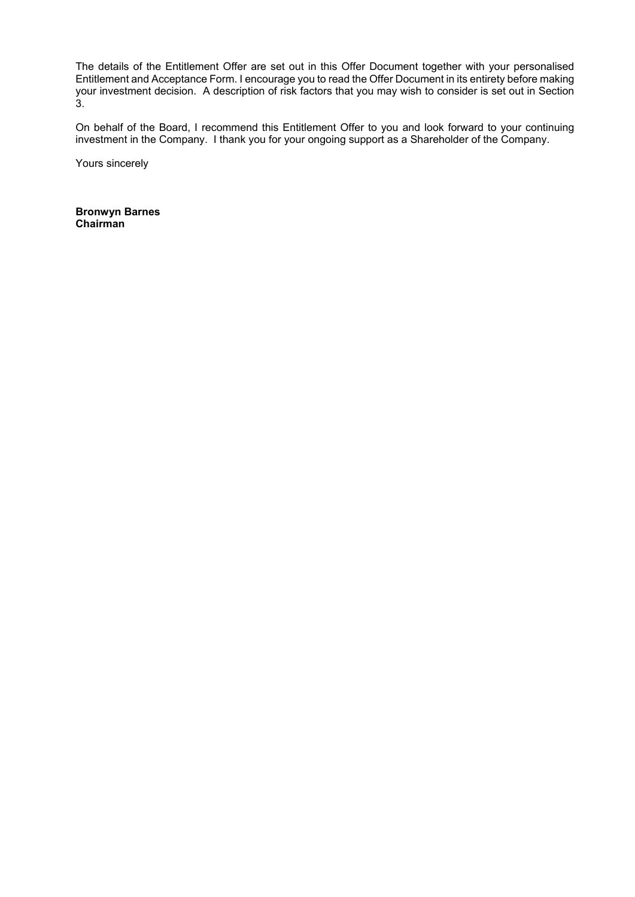The details of the Entitlement Offer are set out in this Offer Document together with your personalised Entitlement and Acceptance Form. I encourage you to read the Offer Document in its entirety before making your investment decision. A description of risk factors that you may wish to consider is set out in Section 3.

On behalf of the Board, I recommend this Entitlement Offer to you and look forward to your continuing investment in the Company. I thank you for your ongoing support as a Shareholder of the Company.

Yours sincerely

**Bronwyn Barnes Chairman**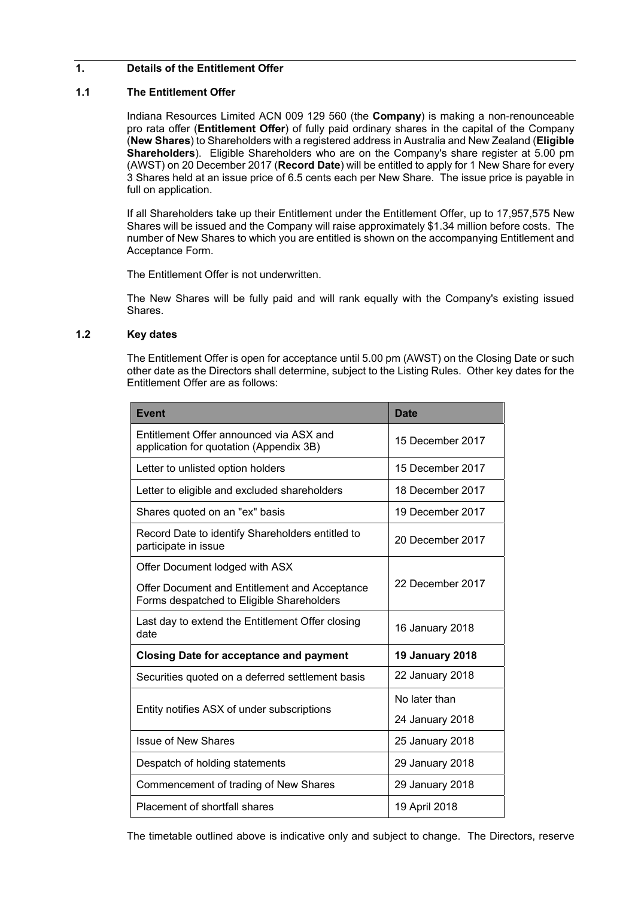#### **1. Details of the Entitlement Offer**

#### **1.1 The Entitlement Offer**

Indiana Resources Limited ACN 009 129 560 (the **Company**) is making a non-renounceable pro rata offer (**Entitlement Offer**) of fully paid ordinary shares in the capital of the Company (**New Shares**) to Shareholders with a registered address in Australia and New Zealand (**Eligible Shareholders**). Eligible Shareholders who are on the Company's share register at 5.00 pm (AWST) on 20 December 2017 (**Record Date**) will be entitled to apply for 1 New Share for every 3 Shares held at an issue price of 6.5 cents each per New Share. The issue price is payable in full on application.

If all Shareholders take up their Entitlement under the Entitlement Offer, up to 17,957,575 New Shares will be issued and the Company will raise approximately \$1.34 million before costs. The number of New Shares to which you are entitled is shown on the accompanying Entitlement and Acceptance Form.

The Entitlement Offer is not underwritten.

The New Shares will be fully paid and will rank equally with the Company's existing issued Shares.

#### **1.2 Key dates**

The Entitlement Offer is open for acceptance until 5.00 pm (AWST) on the Closing Date or such other date as the Directors shall determine, subject to the Listing Rules. Other key dates for the Entitlement Offer are as follows:

| <b>Event</b>                                                                               | <b>Date</b>            |  |
|--------------------------------------------------------------------------------------------|------------------------|--|
| Entitlement Offer announced via ASX and<br>application for quotation (Appendix 3B)         | 15 December 2017       |  |
| Letter to unlisted option holders                                                          | 15 December 2017       |  |
| Letter to eligible and excluded shareholders                                               | 18 December 2017       |  |
| Shares quoted on an "ex" basis                                                             | 19 December 2017       |  |
| Record Date to identify Shareholders entitled to<br>participate in issue                   | 20 December 2017       |  |
| Offer Document lodged with ASX                                                             | 22 December 2017       |  |
| Offer Document and Entitlement and Acceptance<br>Forms despatched to Eligible Shareholders |                        |  |
| Last day to extend the Entitlement Offer closing<br>date                                   | 16 January 2018        |  |
| <b>Closing Date for acceptance and payment</b>                                             | <b>19 January 2018</b> |  |
| Securities quoted on a deferred settlement basis                                           | 22 January 2018        |  |
|                                                                                            | No later than          |  |
| Entity notifies ASX of under subscriptions                                                 | 24 January 2018        |  |
| <b>Issue of New Shares</b>                                                                 | 25 January 2018        |  |
| Despatch of holding statements                                                             | 29 January 2018        |  |
| Commencement of trading of New Shares                                                      | 29 January 2018        |  |
| Placement of shortfall shares                                                              | 19 April 2018          |  |

The timetable outlined above is indicative only and subject to change. The Directors, reserve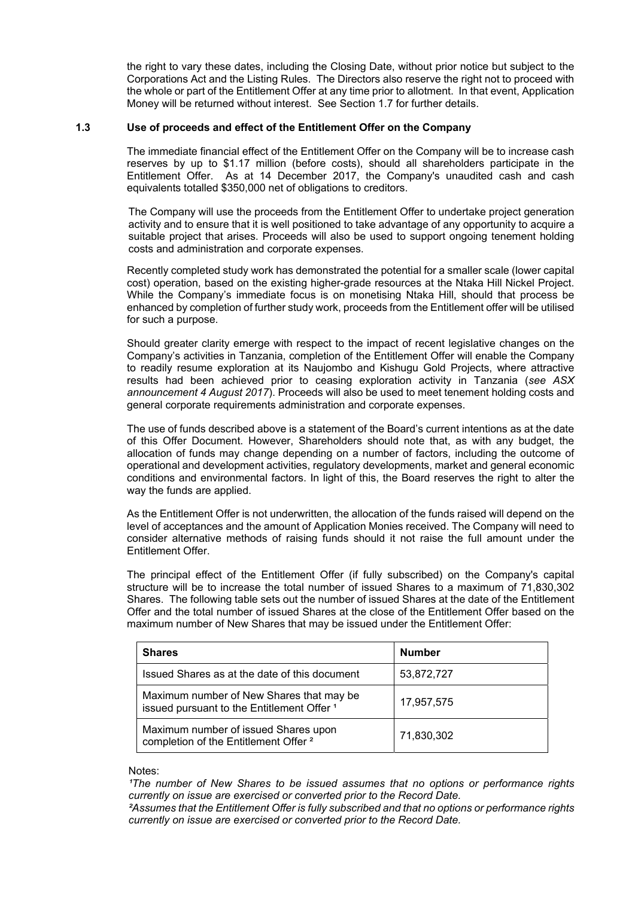the right to vary these dates, including the Closing Date, without prior notice but subject to the Corporations Act and the Listing Rules. The Directors also reserve the right not to proceed with the whole or part of the Entitlement Offer at any time prior to allotment. In that event, Application Money will be returned without interest. See Section 1.7 for further details.

#### **1.3 Use of proceeds and effect of the Entitlement Offer on the Company**

The immediate financial effect of the Entitlement Offer on the Company will be to increase cash reserves by up to \$1.17 million (before costs), should all shareholders participate in the Entitlement Offer. As at 14 December 2017, the Company's unaudited cash and cash equivalents totalled \$350,000 net of obligations to creditors.

The Company will use the proceeds from the Entitlement Offer to undertake project generation activity and to ensure that it is well positioned to take advantage of any opportunity to acquire a suitable project that arises. Proceeds will also be used to support ongoing tenement holding costs and administration and corporate expenses.

Recently completed study work has demonstrated the potential for a smaller scale (lower capital cost) operation, based on the existing higher-grade resources at the Ntaka Hill Nickel Project. While the Company's immediate focus is on monetising Ntaka Hill, should that process be enhanced by completion of further study work, proceeds from the Entitlement offer will be utilised for such a purpose.

Should greater clarity emerge with respect to the impact of recent legislative changes on the Company's activities in Tanzania, completion of the Entitlement Offer will enable the Company to readily resume exploration at its Naujombo and Kishugu Gold Projects, where attractive results had been achieved prior to ceasing exploration activity in Tanzania (*see ASX announcement 4 August 2017*). Proceeds will also be used to meet tenement holding costs and general corporate requirements administration and corporate expenses.

The use of funds described above is a statement of the Board's current intentions as at the date of this Offer Document. However, Shareholders should note that, as with any budget, the allocation of funds may change depending on a number of factors, including the outcome of operational and development activities, regulatory developments, market and general economic conditions and environmental factors. In light of this, the Board reserves the right to alter the way the funds are applied.

As the Entitlement Offer is not underwritten, the allocation of the funds raised will depend on the level of acceptances and the amount of Application Monies received. The Company will need to consider alternative methods of raising funds should it not raise the full amount under the Entitlement Offer.

The principal effect of the Entitlement Offer (if fully subscribed) on the Company's capital structure will be to increase the total number of issued Shares to a maximum of 71,830,302 Shares. The following table sets out the number of issued Shares at the date of the Entitlement Offer and the total number of issued Shares at the close of the Entitlement Offer based on the maximum number of New Shares that may be issued under the Entitlement Offer:

| <b>Shares</b>                                                                                     | <b>Number</b> |  |
|---------------------------------------------------------------------------------------------------|---------------|--|
| Issued Shares as at the date of this document                                                     | 53,872,727    |  |
| Maximum number of New Shares that may be<br>issued pursuant to the Entitlement Offer <sup>1</sup> | 17,957,575    |  |
| Maximum number of issued Shares upon<br>completion of the Entitlement Offer <sup>2</sup>          | 71,830,302    |  |

#### Notes:

*The number of New Shares to be issued assumes that no options or performance rights currently on issue are exercised or converted prior to the Record Date.* 

*²Assumes that the Entitlement Offer is fully subscribed and that no options or performance rights currently on issue are exercised or converted prior to the Record Date.*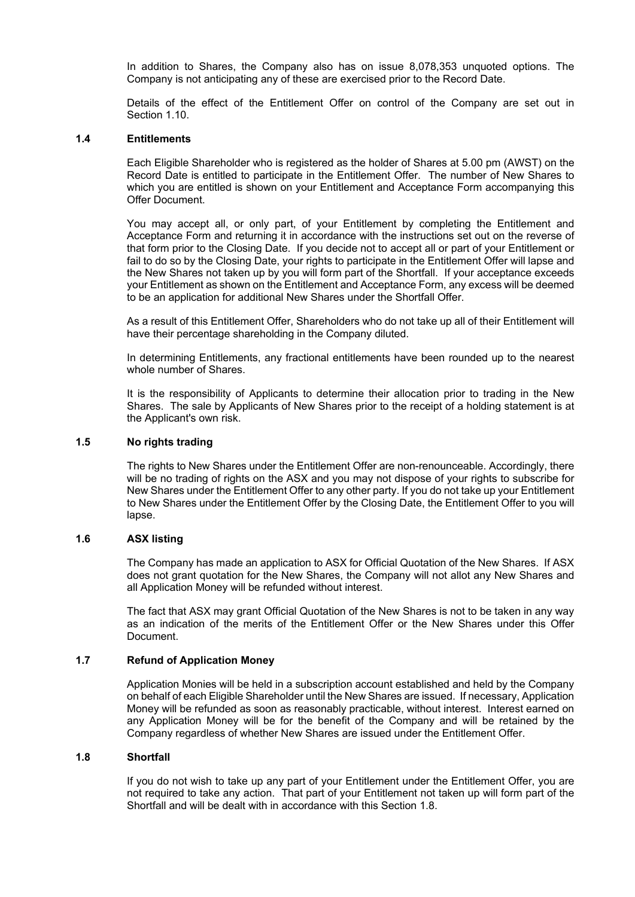In addition to Shares, the Company also has on issue 8,078,353 unquoted options. The Company is not anticipating any of these are exercised prior to the Record Date.

Details of the effect of the Entitlement Offer on control of the Company are set out in Section 1.10

#### **1.4 Entitlements**

Each Eligible Shareholder who is registered as the holder of Shares at 5.00 pm (AWST) on the Record Date is entitled to participate in the Entitlement Offer. The number of New Shares to which you are entitled is shown on your Entitlement and Acceptance Form accompanying this Offer Document.

You may accept all, or only part, of your Entitlement by completing the Entitlement and Acceptance Form and returning it in accordance with the instructions set out on the reverse of that form prior to the Closing Date. If you decide not to accept all or part of your Entitlement or fail to do so by the Closing Date, your rights to participate in the Entitlement Offer will lapse and the New Shares not taken up by you will form part of the Shortfall. If your acceptance exceeds your Entitlement as shown on the Entitlement and Acceptance Form, any excess will be deemed to be an application for additional New Shares under the Shortfall Offer.

As a result of this Entitlement Offer, Shareholders who do not take up all of their Entitlement will have their percentage shareholding in the Company diluted.

In determining Entitlements, any fractional entitlements have been rounded up to the nearest whole number of Shares.

It is the responsibility of Applicants to determine their allocation prior to trading in the New Shares. The sale by Applicants of New Shares prior to the receipt of a holding statement is at the Applicant's own risk.

#### **1.5 No rights trading**

The rights to New Shares under the Entitlement Offer are non-renounceable. Accordingly, there will be no trading of rights on the ASX and you may not dispose of your rights to subscribe for New Shares under the Entitlement Offer to any other party. If you do not take up your Entitlement to New Shares under the Entitlement Offer by the Closing Date, the Entitlement Offer to you will lapse.

#### **1.6 ASX listing**

The Company has made an application to ASX for Official Quotation of the New Shares. If ASX does not grant quotation for the New Shares, the Company will not allot any New Shares and all Application Money will be refunded without interest.

The fact that ASX may grant Official Quotation of the New Shares is not to be taken in any way as an indication of the merits of the Entitlement Offer or the New Shares under this Offer Document.

#### **1.7 Refund of Application Money**

Application Monies will be held in a subscription account established and held by the Company on behalf of each Eligible Shareholder until the New Shares are issued. If necessary, Application Money will be refunded as soon as reasonably practicable, without interest. Interest earned on any Application Money will be for the benefit of the Company and will be retained by the Company regardless of whether New Shares are issued under the Entitlement Offer.

#### **1.8 Shortfall**

If you do not wish to take up any part of your Entitlement under the Entitlement Offer, you are not required to take any action. That part of your Entitlement not taken up will form part of the Shortfall and will be dealt with in accordance with this Section 1.8.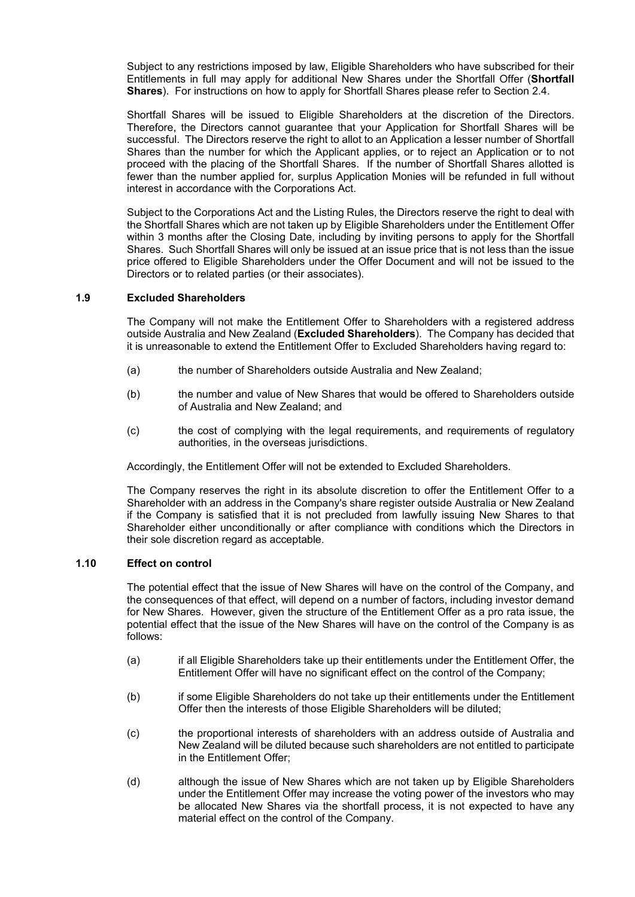Subject to any restrictions imposed by law, Eligible Shareholders who have subscribed for their Entitlements in full may apply for additional New Shares under the Shortfall Offer (**Shortfall Shares**). For instructions on how to apply for Shortfall Shares please refer to Section 2.4.

Shortfall Shares will be issued to Eligible Shareholders at the discretion of the Directors. Therefore, the Directors cannot guarantee that your Application for Shortfall Shares will be successful. The Directors reserve the right to allot to an Application a lesser number of Shortfall Shares than the number for which the Applicant applies, or to reject an Application or to not proceed with the placing of the Shortfall Shares. If the number of Shortfall Shares allotted is fewer than the number applied for, surplus Application Monies will be refunded in full without interest in accordance with the Corporations Act.

Subject to the Corporations Act and the Listing Rules, the Directors reserve the right to deal with the Shortfall Shares which are not taken up by Eligible Shareholders under the Entitlement Offer within 3 months after the Closing Date, including by inviting persons to apply for the Shortfall Shares. Such Shortfall Shares will only be issued at an issue price that is not less than the issue price offered to Eligible Shareholders under the Offer Document and will not be issued to the Directors or to related parties (or their associates).

#### **1.9 Excluded Shareholders**

The Company will not make the Entitlement Offer to Shareholders with a registered address outside Australia and New Zealand (**Excluded Shareholders**). The Company has decided that it is unreasonable to extend the Entitlement Offer to Excluded Shareholders having regard to:

- (a) the number of Shareholders outside Australia and New Zealand;
- (b) the number and value of New Shares that would be offered to Shareholders outside of Australia and New Zealand; and
- (c) the cost of complying with the legal requirements, and requirements of regulatory authorities, in the overseas jurisdictions.

Accordingly, the Entitlement Offer will not be extended to Excluded Shareholders.

The Company reserves the right in its absolute discretion to offer the Entitlement Offer to a Shareholder with an address in the Company's share register outside Australia or New Zealand if the Company is satisfied that it is not precluded from lawfully issuing New Shares to that Shareholder either unconditionally or after compliance with conditions which the Directors in their sole discretion regard as acceptable.

#### **1.10 Effect on control**

The potential effect that the issue of New Shares will have on the control of the Company, and the consequences of that effect, will depend on a number of factors, including investor demand for New Shares. However, given the structure of the Entitlement Offer as a pro rata issue, the potential effect that the issue of the New Shares will have on the control of the Company is as follows:

- (a) if all Eligible Shareholders take up their entitlements under the Entitlement Offer, the Entitlement Offer will have no significant effect on the control of the Company;
- (b) if some Eligible Shareholders do not take up their entitlements under the Entitlement Offer then the interests of those Eligible Shareholders will be diluted;
- (c) the proportional interests of shareholders with an address outside of Australia and New Zealand will be diluted because such shareholders are not entitled to participate in the Entitlement Offer;
- (d) although the issue of New Shares which are not taken up by Eligible Shareholders under the Entitlement Offer may increase the voting power of the investors who may be allocated New Shares via the shortfall process, it is not expected to have any material effect on the control of the Company.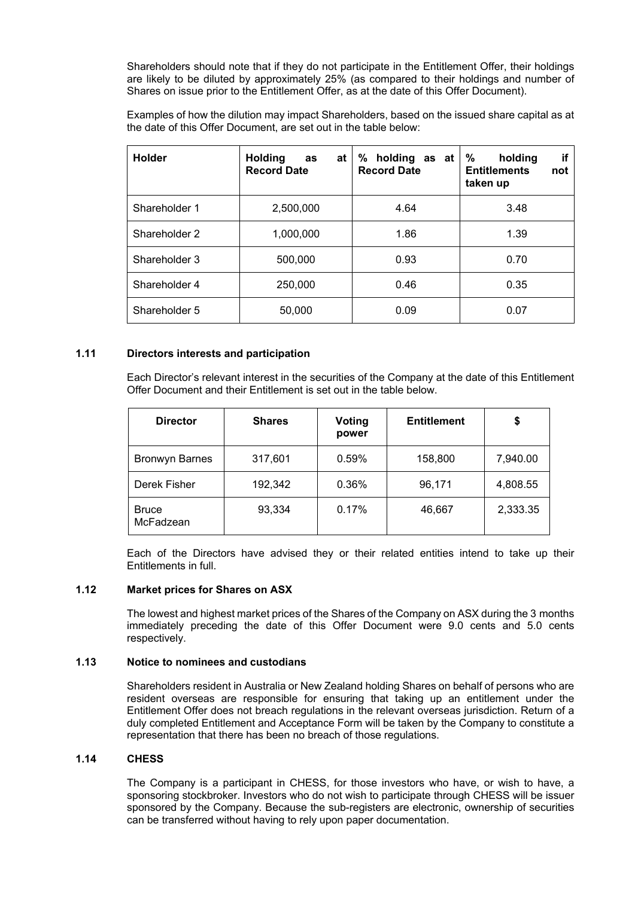Shareholders should note that if they do not participate in the Entitlement Offer, their holdings are likely to be diluted by approximately 25% (as compared to their holdings and number of Shares on issue prior to the Entitlement Offer, as at the date of this Offer Document).

Examples of how the dilution may impact Shareholders, based on the issued share capital as at the date of this Offer Document, are set out in the table below:

| <b>Holder</b> | <b>Holding</b><br>at<br>as<br><b>Record Date</b> | ℅<br>holding<br>as at<br><b>Record Date</b> | if<br>%<br>holding<br><b>Entitlements</b><br>not<br>taken up |
|---------------|--------------------------------------------------|---------------------------------------------|--------------------------------------------------------------|
| Shareholder 1 | 2,500,000                                        | 4.64                                        | 3.48                                                         |
| Shareholder 2 | 1,000,000                                        | 1.86                                        | 1.39                                                         |
| Shareholder 3 | 500,000                                          | 0.93                                        | 0.70                                                         |
| Shareholder 4 | 250,000                                          | 0.46                                        | 0.35                                                         |
| Shareholder 5 | 50,000                                           | 0.09                                        | 0.07                                                         |

#### **1.11 Directors interests and participation**

Each Director's relevant interest in the securities of the Company at the date of this Entitlement Offer Document and their Entitlement is set out in the table below.

| <b>Director</b>           | <b>Shares</b> | Voting<br>power | <b>Entitlement</b> | \$       |
|---------------------------|---------------|-----------------|--------------------|----------|
| <b>Bronwyn Barnes</b>     | 317,601       | 0.59%           | 158,800            | 7,940.00 |
| Derek Fisher              | 192,342       | 0.36%           | 96,171             | 4,808.55 |
| <b>Bruce</b><br>McFadzean | 93,334        | 0.17%           | 46,667             | 2,333.35 |

Each of the Directors have advised they or their related entities intend to take up their Entitlements in full.

#### **1.12 Market prices for Shares on ASX**

The lowest and highest market prices of the Shares of the Company on ASX during the 3 months immediately preceding the date of this Offer Document were 9.0 cents and 5.0 cents respectively.

#### **1.13 Notice to nominees and custodians**

Shareholders resident in Australia or New Zealand holding Shares on behalf of persons who are resident overseas are responsible for ensuring that taking up an entitlement under the Entitlement Offer does not breach regulations in the relevant overseas jurisdiction. Return of a duly completed Entitlement and Acceptance Form will be taken by the Company to constitute a representation that there has been no breach of those regulations.

#### **1.14 CHESS**

The Company is a participant in CHESS, for those investors who have, or wish to have, a sponsoring stockbroker. Investors who do not wish to participate through CHESS will be issuer sponsored by the Company. Because the sub-registers are electronic, ownership of securities can be transferred without having to rely upon paper documentation.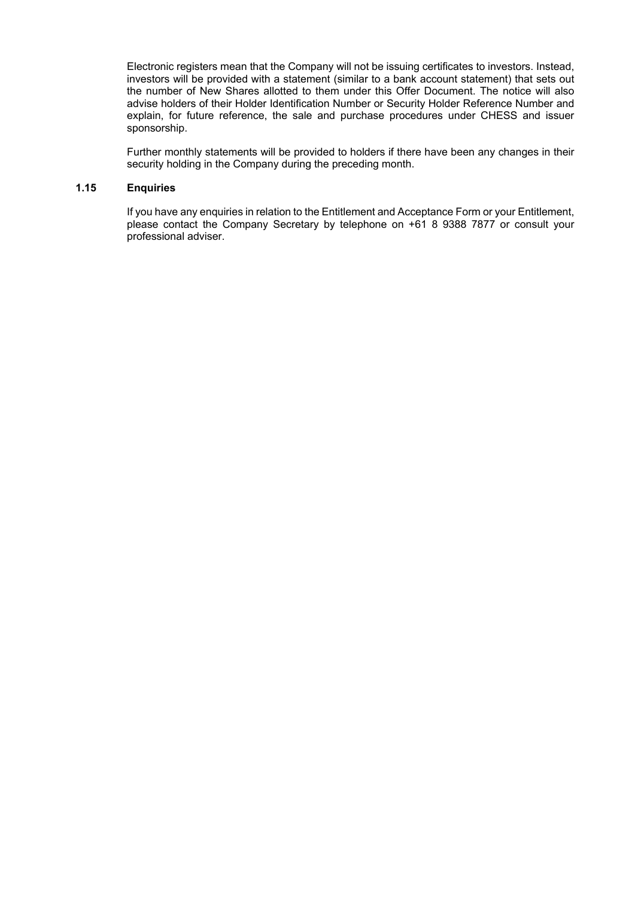Electronic registers mean that the Company will not be issuing certificates to investors. Instead, investors will be provided with a statement (similar to a bank account statement) that sets out the number of New Shares allotted to them under this Offer Document. The notice will also advise holders of their Holder Identification Number or Security Holder Reference Number and explain, for future reference, the sale and purchase procedures under CHESS and issuer sponsorship.

Further monthly statements will be provided to holders if there have been any changes in their security holding in the Company during the preceding month.

#### **1.15 Enquiries**

If you have any enquiries in relation to the Entitlement and Acceptance Form or your Entitlement, please contact the Company Secretary by telephone on +61 8 9388 7877 or consult your professional adviser.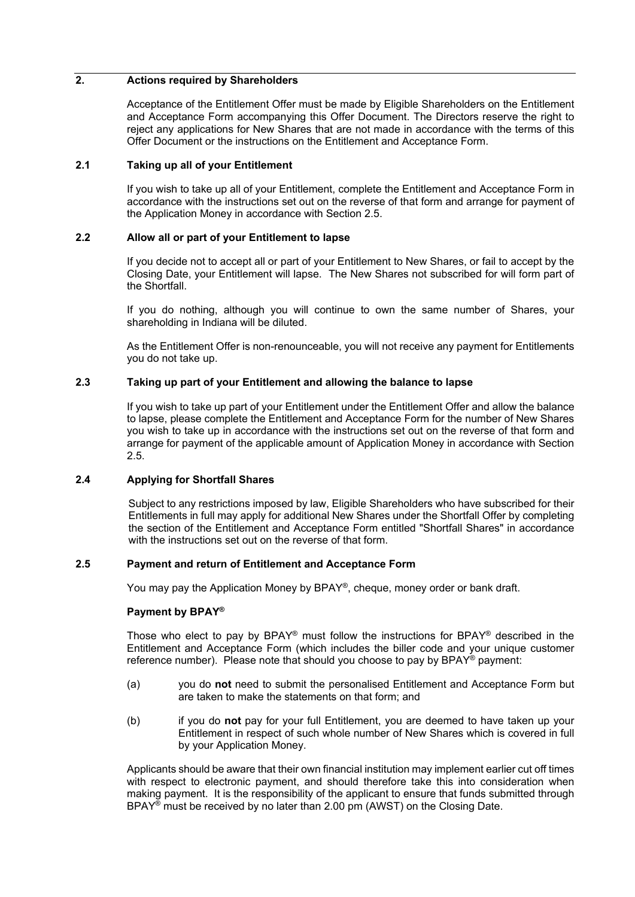#### **2. Actions required by Shareholders**

Acceptance of the Entitlement Offer must be made by Eligible Shareholders on the Entitlement and Acceptance Form accompanying this Offer Document. The Directors reserve the right to reject any applications for New Shares that are not made in accordance with the terms of this Offer Document or the instructions on the Entitlement and Acceptance Form.

#### **2.1 Taking up all of your Entitlement**

If you wish to take up all of your Entitlement, complete the Entitlement and Acceptance Form in accordance with the instructions set out on the reverse of that form and arrange for payment of the Application Money in accordance with Section 2.5.

#### **2.2 Allow all or part of your Entitlement to lapse**

If you decide not to accept all or part of your Entitlement to New Shares, or fail to accept by the Closing Date, your Entitlement will lapse. The New Shares not subscribed for will form part of the Shortfall.

If you do nothing, although you will continue to own the same number of Shares, your shareholding in Indiana will be diluted.

As the Entitlement Offer is non-renounceable, you will not receive any payment for Entitlements you do not take up.

#### **2.3 Taking up part of your Entitlement and allowing the balance to lapse**

If you wish to take up part of your Entitlement under the Entitlement Offer and allow the balance to lapse, please complete the Entitlement and Acceptance Form for the number of New Shares you wish to take up in accordance with the instructions set out on the reverse of that form and arrange for payment of the applicable amount of Application Money in accordance with Section 2.5.

#### **2.4 Applying for Shortfall Shares**

Subject to any restrictions imposed by law, Eligible Shareholders who have subscribed for their Entitlements in full may apply for additional New Shares under the Shortfall Offer by completing the section of the Entitlement and Acceptance Form entitled "Shortfall Shares" in accordance with the instructions set out on the reverse of that form.

#### **2.5 Payment and return of Entitlement and Acceptance Form**

You may pay the Application Money by BPAY<sup>®</sup>, cheque, money order or bank draft.

#### **Payment by BPAY®**

Those who elect to pay by BPAY<sup>®</sup> must follow the instructions for BPAY<sup>®</sup> described in the Entitlement and Acceptance Form (which includes the biller code and your unique customer reference number). Please note that should you choose to pay by BPAY® payment:

- (a) you do **not** need to submit the personalised Entitlement and Acceptance Form but are taken to make the statements on that form; and
- (b) if you do **not** pay for your full Entitlement, you are deemed to have taken up your Entitlement in respect of such whole number of New Shares which is covered in full by your Application Money.

Applicants should be aware that their own financial institution may implement earlier cut off times with respect to electronic payment, and should therefore take this into consideration when making payment. It is the responsibility of the applicant to ensure that funds submitted through BPAY<sup>®</sup> must be received by no later than 2.00 pm (AWST) on the Closing Date.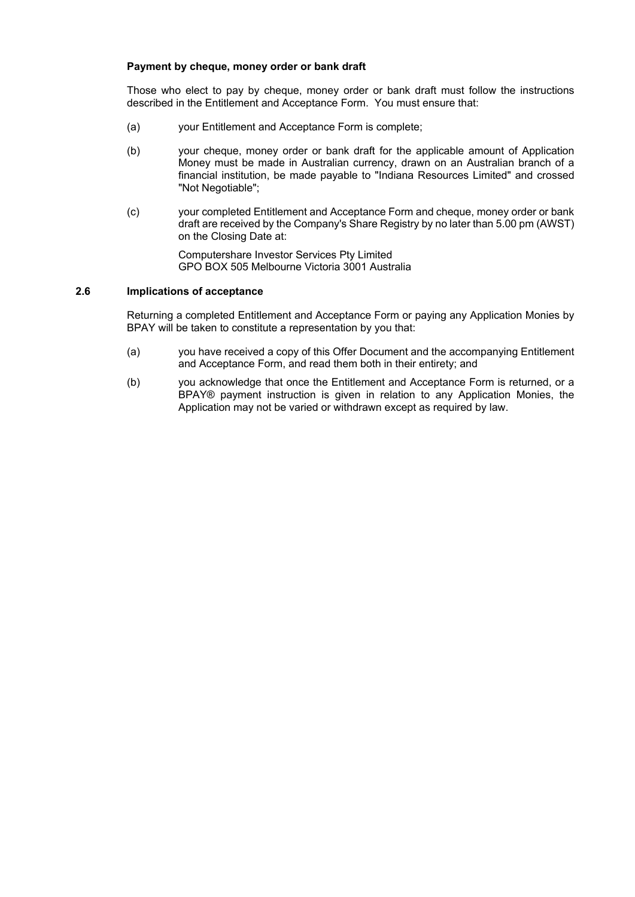#### **Payment by cheque, money order or bank draft**

Those who elect to pay by cheque, money order or bank draft must follow the instructions described in the Entitlement and Acceptance Form. You must ensure that:

- (a) your Entitlement and Acceptance Form is complete;
- (b) your cheque, money order or bank draft for the applicable amount of Application Money must be made in Australian currency, drawn on an Australian branch of a financial institution, be made payable to "Indiana Resources Limited" and crossed "Not Negotiable";
- (c) your completed Entitlement and Acceptance Form and cheque, money order or bank draft are received by the Company's Share Registry by no later than 5.00 pm (AWST) on the Closing Date at:

Computershare Investor Services Pty Limited GPO BOX 505 Melbourne Victoria 3001 Australia

#### **2.6 Implications of acceptance**

Returning a completed Entitlement and Acceptance Form or paying any Application Monies by BPAY will be taken to constitute a representation by you that:

- (a) you have received a copy of this Offer Document and the accompanying Entitlement and Acceptance Form, and read them both in their entirety; and
- (b) you acknowledge that once the Entitlement and Acceptance Form is returned, or a BPAY® payment instruction is given in relation to any Application Monies, the Application may not be varied or withdrawn except as required by law.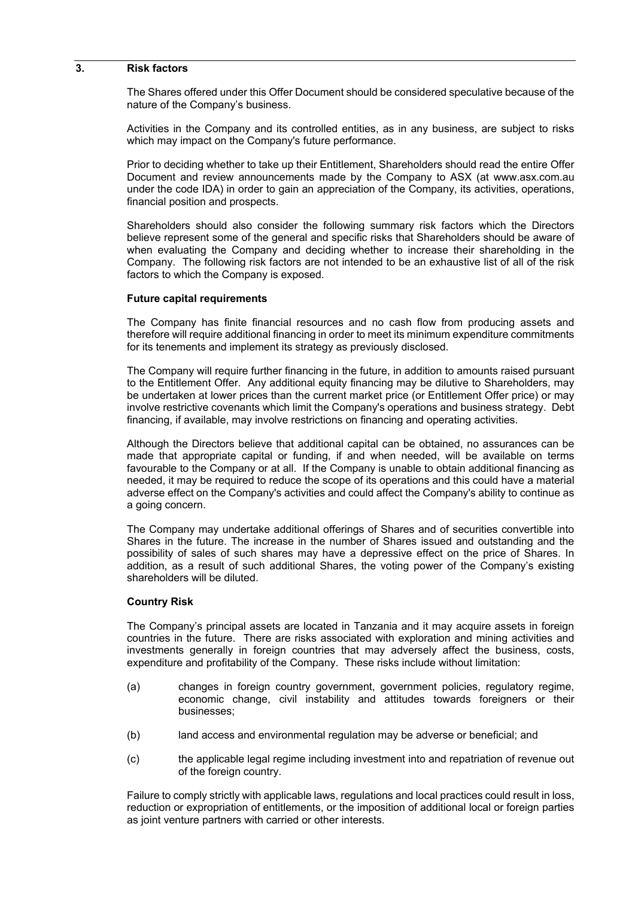#### **3. Risk factors**

The Shares offered under this Offer Document should be considered speculative because of the nature of the Company's business.

Activities in the Company and its controlled entities, as in any business, are subject to risks which may impact on the Company's future performance.

Prior to deciding whether to take up their Entitlement, Shareholders should read the entire Offer Document and review announcements made by the Company to ASX (at www.asx.com.au under the code IDA) in order to gain an appreciation of the Company, its activities, operations, financial position and prospects.

Shareholders should also consider the following summary risk factors which the Directors believe represent some of the general and specific risks that Shareholders should be aware of when evaluating the Company and deciding whether to increase their shareholding in the Company. The following risk factors are not intended to be an exhaustive list of all of the risk factors to which the Company is exposed.

#### **Future capital requirements**

The Company has finite financial resources and no cash flow from producing assets and therefore will require additional financing in order to meet its minimum expenditure commitments for its tenements and implement its strategy as previously disclosed.

The Company will require further financing in the future, in addition to amounts raised pursuant to the Entitlement Offer. Any additional equity financing may be dilutive to Shareholders, may be undertaken at lower prices than the current market price (or Entitlement Offer price) or may involve restrictive covenants which limit the Company's operations and business strategy. Debt financing, if available, may involve restrictions on financing and operating activities.

Although the Directors believe that additional capital can be obtained, no assurances can be made that appropriate capital or funding, if and when needed, will be available on terms favourable to the Company or at all. If the Company is unable to obtain additional financing as needed, it may be required to reduce the scope of its operations and this could have a material adverse effect on the Company's activities and could affect the Company's ability to continue as a going concern.

The Company may undertake additional offerings of Shares and of securities convertible into Shares in the future. The increase in the number of Shares issued and outstanding and the possibility of sales of such shares may have a depressive effect on the price of Shares. In addition, as a result of such additional Shares, the voting power of the Company's existing shareholders will be diluted.

#### **Country Risk**

The Company's principal assets are located in Tanzania and it may acquire assets in foreign countries in the future. There are risks associated with exploration and mining activities and investments generally in foreign countries that may adversely affect the business, costs, expenditure and profitability of the Company. These risks include without limitation:

- (a) changes in foreign country government, government policies, regulatory regime, economic change, civil instability and attitudes towards foreigners or their businesses;
- (b) land access and environmental regulation may be adverse or beneficial; and
- (c) the applicable legal regime including investment into and repatriation of revenue out of the foreign country.

Failure to comply strictly with applicable laws, regulations and local practices could result in loss, reduction or expropriation of entitlements, or the imposition of additional local or foreign parties as joint venture partners with carried or other interests.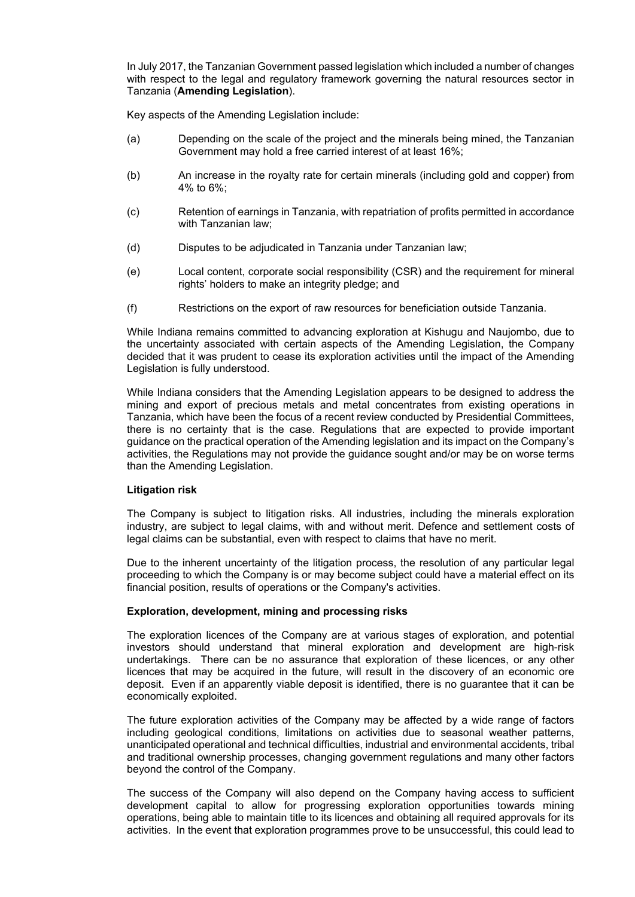In July 2017, the Tanzanian Government passed legislation which included a number of changes with respect to the legal and regulatory framework governing the natural resources sector in Tanzania (**Amending Legislation**).

Key aspects of the Amending Legislation include:

- (a) Depending on the scale of the project and the minerals being mined, the Tanzanian Government may hold a free carried interest of at least 16%;
- (b) An increase in the royalty rate for certain minerals (including gold and copper) from 4% to 6%;
- (c) Retention of earnings in Tanzania, with repatriation of profits permitted in accordance with Tanzanian law;
- (d) Disputes to be adjudicated in Tanzania under Tanzanian law;
- (e) Local content, corporate social responsibility (CSR) and the requirement for mineral rights' holders to make an integrity pledge; and
- (f) Restrictions on the export of raw resources for beneficiation outside Tanzania.

While Indiana remains committed to advancing exploration at Kishugu and Naujombo, due to the uncertainty associated with certain aspects of the Amending Legislation, the Company decided that it was prudent to cease its exploration activities until the impact of the Amending Legislation is fully understood.

While Indiana considers that the Amending Legislation appears to be designed to address the mining and export of precious metals and metal concentrates from existing operations in Tanzania, which have been the focus of a recent review conducted by Presidential Committees, there is no certainty that is the case. Regulations that are expected to provide important guidance on the practical operation of the Amending legislation and its impact on the Company's activities, the Regulations may not provide the guidance sought and/or may be on worse terms than the Amending Legislation.

#### **Litigation risk**

The Company is subject to litigation risks. All industries, including the minerals exploration industry, are subject to legal claims, with and without merit. Defence and settlement costs of legal claims can be substantial, even with respect to claims that have no merit.

Due to the inherent uncertainty of the litigation process, the resolution of any particular legal proceeding to which the Company is or may become subject could have a material effect on its financial position, results of operations or the Company's activities.

#### **Exploration, development, mining and processing risks**

The exploration licences of the Company are at various stages of exploration, and potential investors should understand that mineral exploration and development are high-risk undertakings. There can be no assurance that exploration of these licences, or any other licences that may be acquired in the future, will result in the discovery of an economic ore deposit. Even if an apparently viable deposit is identified, there is no guarantee that it can be economically exploited.

The future exploration activities of the Company may be affected by a wide range of factors including geological conditions, limitations on activities due to seasonal weather patterns, unanticipated operational and technical difficulties, industrial and environmental accidents, tribal and traditional ownership processes, changing government regulations and many other factors beyond the control of the Company.

The success of the Company will also depend on the Company having access to sufficient development capital to allow for progressing exploration opportunities towards mining operations, being able to maintain title to its licences and obtaining all required approvals for its activities. In the event that exploration programmes prove to be unsuccessful, this could lead to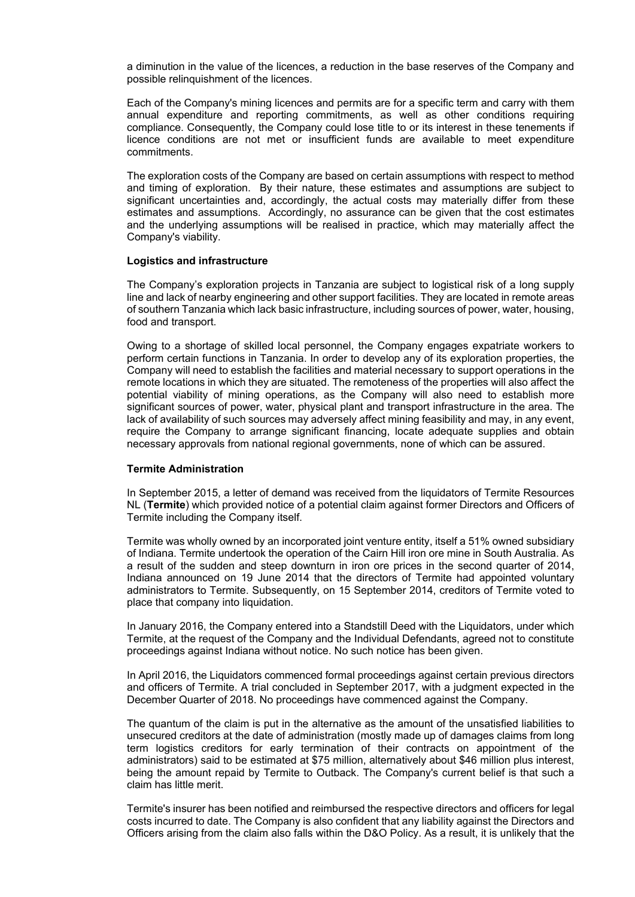a diminution in the value of the licences, a reduction in the base reserves of the Company and possible relinquishment of the licences.

Each of the Company's mining licences and permits are for a specific term and carry with them annual expenditure and reporting commitments, as well as other conditions requiring compliance. Consequently, the Company could lose title to or its interest in these tenements if licence conditions are not met or insufficient funds are available to meet expenditure commitments.

The exploration costs of the Company are based on certain assumptions with respect to method and timing of exploration. By their nature, these estimates and assumptions are subject to significant uncertainties and, accordingly, the actual costs may materially differ from these estimates and assumptions. Accordingly, no assurance can be given that the cost estimates and the underlying assumptions will be realised in practice, which may materially affect the Company's viability.

#### **Logistics and infrastructure**

The Company's exploration projects in Tanzania are subject to logistical risk of a long supply line and lack of nearby engineering and other support facilities. They are located in remote areas of southern Tanzania which lack basic infrastructure, including sources of power, water, housing, food and transport.

Owing to a shortage of skilled local personnel, the Company engages expatriate workers to perform certain functions in Tanzania. In order to develop any of its exploration properties, the Company will need to establish the facilities and material necessary to support operations in the remote locations in which they are situated. The remoteness of the properties will also affect the potential viability of mining operations, as the Company will also need to establish more significant sources of power, water, physical plant and transport infrastructure in the area. The lack of availability of such sources may adversely affect mining feasibility and may, in any event, require the Company to arrange significant financing, locate adequate supplies and obtain necessary approvals from national regional governments, none of which can be assured.

#### **Termite Administration**

In September 2015, a letter of demand was received from the liquidators of Termite Resources NL (**Termite**) which provided notice of a potential claim against former Directors and Officers of Termite including the Company itself.

Termite was wholly owned by an incorporated joint venture entity, itself a 51% owned subsidiary of Indiana. Termite undertook the operation of the Cairn Hill iron ore mine in South Australia. As a result of the sudden and steep downturn in iron ore prices in the second quarter of 2014, Indiana announced on 19 June 2014 that the directors of Termite had appointed voluntary administrators to Termite. Subsequently, on 15 September 2014, creditors of Termite voted to place that company into liquidation.

In January 2016, the Company entered into a Standstill Deed with the Liquidators, under which Termite, at the request of the Company and the Individual Defendants, agreed not to constitute proceedings against Indiana without notice. No such notice has been given.

In April 2016, the Liquidators commenced formal proceedings against certain previous directors and officers of Termite. A trial concluded in September 2017, with a judgment expected in the December Quarter of 2018. No proceedings have commenced against the Company.

The quantum of the claim is put in the alternative as the amount of the unsatisfied liabilities to unsecured creditors at the date of administration (mostly made up of damages claims from long term logistics creditors for early termination of their contracts on appointment of the administrators) said to be estimated at \$75 million, alternatively about \$46 million plus interest, being the amount repaid by Termite to Outback. The Company's current belief is that such a claim has little merit.

Termite's insurer has been notified and reimbursed the respective directors and officers for legal costs incurred to date. The Company is also confident that any liability against the Directors and Officers arising from the claim also falls within the D&O Policy. As a result, it is unlikely that the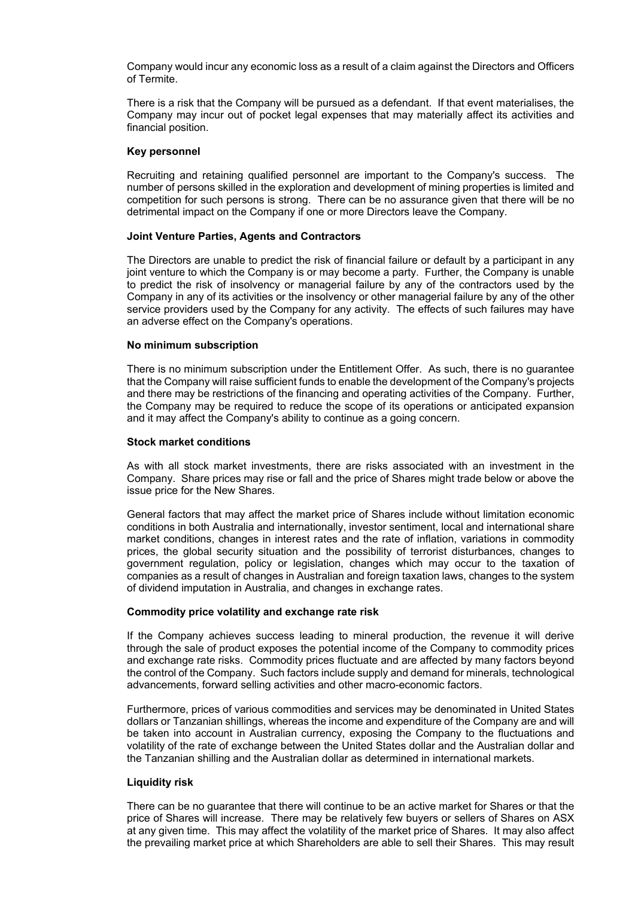Company would incur any economic loss as a result of a claim against the Directors and Officers of Termite.

There is a risk that the Company will be pursued as a defendant. If that event materialises, the Company may incur out of pocket legal expenses that may materially affect its activities and financial position.

#### **Key personnel**

Recruiting and retaining qualified personnel are important to the Company's success. The number of persons skilled in the exploration and development of mining properties is limited and competition for such persons is strong. There can be no assurance given that there will be no detrimental impact on the Company if one or more Directors leave the Company.

#### **Joint Venture Parties, Agents and Contractors**

The Directors are unable to predict the risk of financial failure or default by a participant in any joint venture to which the Company is or may become a party. Further, the Company is unable to predict the risk of insolvency or managerial failure by any of the contractors used by the Company in any of its activities or the insolvency or other managerial failure by any of the other service providers used by the Company for any activity. The effects of such failures may have an adverse effect on the Company's operations.

#### **No minimum subscription**

There is no minimum subscription under the Entitlement Offer. As such, there is no guarantee that the Company will raise sufficient funds to enable the development of the Company's projects and there may be restrictions of the financing and operating activities of the Company. Further, the Company may be required to reduce the scope of its operations or anticipated expansion and it may affect the Company's ability to continue as a going concern.

#### **Stock market conditions**

As with all stock market investments, there are risks associated with an investment in the Company. Share prices may rise or fall and the price of Shares might trade below or above the issue price for the New Shares.

General factors that may affect the market price of Shares include without limitation economic conditions in both Australia and internationally, investor sentiment, local and international share market conditions, changes in interest rates and the rate of inflation, variations in commodity prices, the global security situation and the possibility of terrorist disturbances, changes to government regulation, policy or legislation, changes which may occur to the taxation of companies as a result of changes in Australian and foreign taxation laws, changes to the system of dividend imputation in Australia, and changes in exchange rates.

#### **Commodity price volatility and exchange rate risk**

If the Company achieves success leading to mineral production, the revenue it will derive through the sale of product exposes the potential income of the Company to commodity prices and exchange rate risks. Commodity prices fluctuate and are affected by many factors beyond the control of the Company. Such factors include supply and demand for minerals, technological advancements, forward selling activities and other macro-economic factors.

Furthermore, prices of various commodities and services may be denominated in United States dollars or Tanzanian shillings, whereas the income and expenditure of the Company are and will be taken into account in Australian currency, exposing the Company to the fluctuations and volatility of the rate of exchange between the United States dollar and the Australian dollar and the Tanzanian shilling and the Australian dollar as determined in international markets.

#### **Liquidity risk**

There can be no guarantee that there will continue to be an active market for Shares or that the price of Shares will increase. There may be relatively few buyers or sellers of Shares on ASX at any given time. This may affect the volatility of the market price of Shares. It may also affect the prevailing market price at which Shareholders are able to sell their Shares. This may result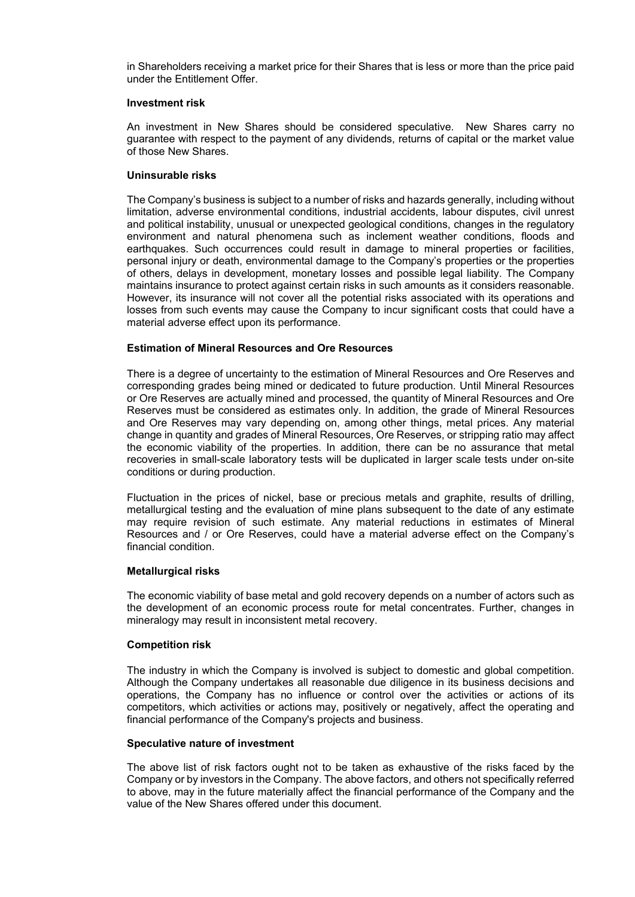in Shareholders receiving a market price for their Shares that is less or more than the price paid under the Entitlement Offer.

#### **Investment risk**

An investment in New Shares should be considered speculative. New Shares carry no guarantee with respect to the payment of any dividends, returns of capital or the market value of those New Shares.

#### **Uninsurable risks**

The Company's business is subject to a number of risks and hazards generally, including without limitation, adverse environmental conditions, industrial accidents, labour disputes, civil unrest and political instability, unusual or unexpected geological conditions, changes in the regulatory environment and natural phenomena such as inclement weather conditions, floods and earthquakes. Such occurrences could result in damage to mineral properties or facilities, personal injury or death, environmental damage to the Company's properties or the properties of others, delays in development, monetary losses and possible legal liability. The Company maintains insurance to protect against certain risks in such amounts as it considers reasonable. However, its insurance will not cover all the potential risks associated with its operations and losses from such events may cause the Company to incur significant costs that could have a material adverse effect upon its performance.

#### **Estimation of Mineral Resources and Ore Resources**

There is a degree of uncertainty to the estimation of Mineral Resources and Ore Reserves and corresponding grades being mined or dedicated to future production. Until Mineral Resources or Ore Reserves are actually mined and processed, the quantity of Mineral Resources and Ore Reserves must be considered as estimates only. In addition, the grade of Mineral Resources and Ore Reserves may vary depending on, among other things, metal prices. Any material change in quantity and grades of Mineral Resources, Ore Reserves, or stripping ratio may affect the economic viability of the properties. In addition, there can be no assurance that metal recoveries in small-scale laboratory tests will be duplicated in larger scale tests under on-site conditions or during production.

Fluctuation in the prices of nickel, base or precious metals and graphite, results of drilling, metallurgical testing and the evaluation of mine plans subsequent to the date of any estimate may require revision of such estimate. Any material reductions in estimates of Mineral Resources and / or Ore Reserves, could have a material adverse effect on the Company's financial condition.

#### **Metallurgical risks**

The economic viability of base metal and gold recovery depends on a number of actors such as the development of an economic process route for metal concentrates. Further, changes in mineralogy may result in inconsistent metal recovery.

#### **Competition risk**

The industry in which the Company is involved is subject to domestic and global competition. Although the Company undertakes all reasonable due diligence in its business decisions and operations, the Company has no influence or control over the activities or actions of its competitors, which activities or actions may, positively or negatively, affect the operating and financial performance of the Company's projects and business.

#### **Speculative nature of investment**

The above list of risk factors ought not to be taken as exhaustive of the risks faced by the Company or by investors in the Company. The above factors, and others not specifically referred to above, may in the future materially affect the financial performance of the Company and the value of the New Shares offered under this document.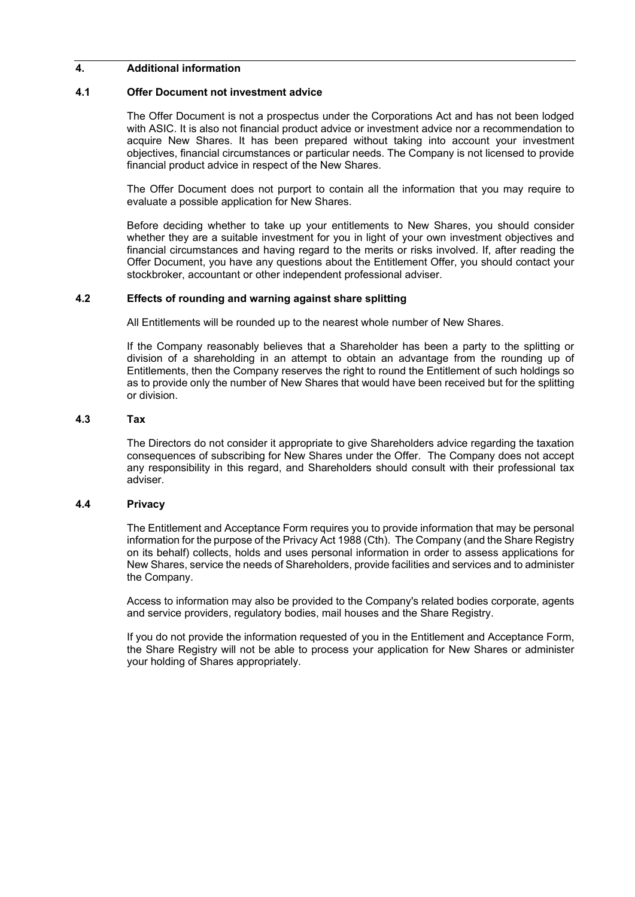#### **4. Additional information**

#### **4.1 Offer Document not investment advice**

The Offer Document is not a prospectus under the Corporations Act and has not been lodged with ASIC. It is also not financial product advice or investment advice nor a recommendation to acquire New Shares. It has been prepared without taking into account your investment objectives, financial circumstances or particular needs. The Company is not licensed to provide financial product advice in respect of the New Shares.

The Offer Document does not purport to contain all the information that you may require to evaluate a possible application for New Shares.

Before deciding whether to take up your entitlements to New Shares, you should consider whether they are a suitable investment for you in light of your own investment objectives and financial circumstances and having regard to the merits or risks involved. If, after reading the Offer Document, you have any questions about the Entitlement Offer, you should contact your stockbroker, accountant or other independent professional adviser.

#### **4.2 Effects of rounding and warning against share splitting**

All Entitlements will be rounded up to the nearest whole number of New Shares.

If the Company reasonably believes that a Shareholder has been a party to the splitting or division of a shareholding in an attempt to obtain an advantage from the rounding up of Entitlements, then the Company reserves the right to round the Entitlement of such holdings so as to provide only the number of New Shares that would have been received but for the splitting or division.

#### **4.3 Tax**

The Directors do not consider it appropriate to give Shareholders advice regarding the taxation consequences of subscribing for New Shares under the Offer. The Company does not accept any responsibility in this regard, and Shareholders should consult with their professional tax adviser.

#### **4.4 Privacy**

The Entitlement and Acceptance Form requires you to provide information that may be personal information for the purpose of the Privacy Act 1988 (Cth). The Company (and the Share Registry on its behalf) collects, holds and uses personal information in order to assess applications for New Shares, service the needs of Shareholders, provide facilities and services and to administer the Company.

Access to information may also be provided to the Company's related bodies corporate, agents and service providers, regulatory bodies, mail houses and the Share Registry.

If you do not provide the information requested of you in the Entitlement and Acceptance Form, the Share Registry will not be able to process your application for New Shares or administer your holding of Shares appropriately.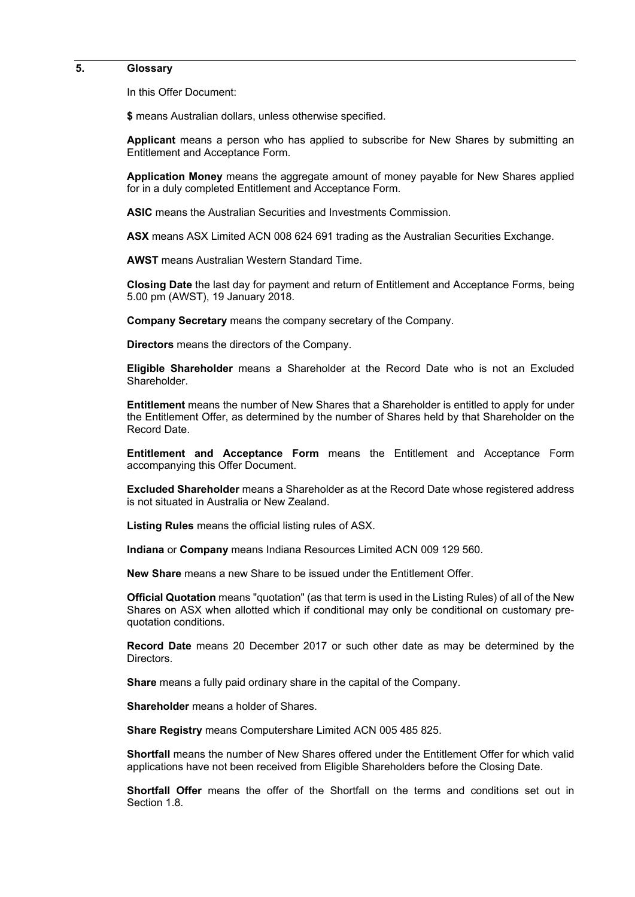#### **5. Glossary**

In this Offer Document:

**\$** means Australian dollars, unless otherwise specified.

**Applicant** means a person who has applied to subscribe for New Shares by submitting an Entitlement and Acceptance Form.

**Application Money** means the aggregate amount of money payable for New Shares applied for in a duly completed Entitlement and Acceptance Form.

**ASIC** means the Australian Securities and Investments Commission.

**ASX** means ASX Limited ACN 008 624 691 trading as the Australian Securities Exchange.

**AWST** means Australian Western Standard Time.

**Closing Date** the last day for payment and return of Entitlement and Acceptance Forms, being 5.00 pm (AWST), 19 January 2018.

**Company Secretary** means the company secretary of the Company.

**Directors** means the directors of the Company.

**Eligible Shareholder** means a Shareholder at the Record Date who is not an Excluded Shareholder.

**Entitlement** means the number of New Shares that a Shareholder is entitled to apply for under the Entitlement Offer, as determined by the number of Shares held by that Shareholder on the Record Date.

**Entitlement and Acceptance Form** means the Entitlement and Acceptance Form accompanying this Offer Document.

**Excluded Shareholder** means a Shareholder as at the Record Date whose registered address is not situated in Australia or New Zealand.

**Listing Rules** means the official listing rules of ASX.

**Indiana** or **Company** means Indiana Resources Limited ACN 009 129 560.

**New Share** means a new Share to be issued under the Entitlement Offer.

**Official Quotation** means "quotation" (as that term is used in the Listing Rules) of all of the New Shares on ASX when allotted which if conditional may only be conditional on customary prequotation conditions.

**Record Date** means 20 December 2017 or such other date as may be determined by the Directors.

**Share** means a fully paid ordinary share in the capital of the Company.

**Shareholder** means a holder of Shares.

**Share Registry** means Computershare Limited ACN 005 485 825.

**Shortfall** means the number of New Shares offered under the Entitlement Offer for which valid applications have not been received from Eligible Shareholders before the Closing Date.

**Shortfall Offer** means the offer of the Shortfall on the terms and conditions set out in Section 1.8.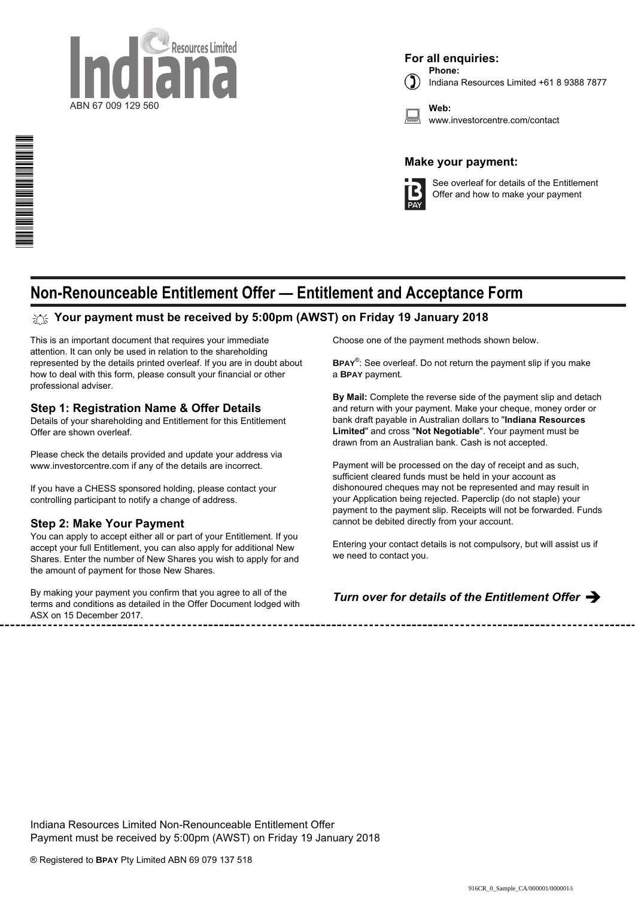

**For all enquiries:**

**Phone:** Indiana Resources Limited +61 8 9388 7877

**Web:** www.investorcentre.com/contact

### **Make your payment:**



See overleaf for details of the Entitlement Offer and how to make your payment

## **Non-Renounceable Entitlement Offer — Entitlement and Acceptance Form**

### **Your payment must be received by 5:00pm (AWST) on Friday 19 January 2018**

This is an important document that requires your immediate attention. It can only be used in relation to the shareholding represented by the details printed overleaf. If you are in doubt about how to deal with this form, please consult your financial or other professional adviser.

#### **Step 1: Registration Name & Offer Details**

Details of your shareholding and Entitlement for this Entitlement Offer are shown overleaf.

Please check the details provided and update your address via www.investorcentre.com if any of the details are incorrect.

If you have a CHESS sponsored holding, please contact your controlling participant to notify a change of address.

#### **Step 2: Make Your Payment**

\*S000001Q01\*

You can apply to accept either all or part of your Entitlement. If you accept your full Entitlement, you can also apply for additional New Shares. Enter the number of New Shares you wish to apply for and the amount of payment for those New Shares.

By making your payment you confirm that you agree to all of the terms and conditions as detailed in the Offer Document lodged with ASX on 15 December 2017.

Choose one of the payment methods shown below.

**BPAY**® : See overleaf. Do not return the payment slip if you make a **BPAY** payment.

**By Mail:** Complete the reverse side of the payment slip and detach and return with your payment. Make your cheque, money order or bank draft payable in Australian dollars to "**Indiana Resources Limited**" and cross "**Not Negotiable**". Your payment must be drawn from an Australian bank. Cash is not accepted.

Payment will be processed on the day of receipt and as such, sufficient cleared funds must be held in your account as dishonoured cheques may not be represented and may result in your Application being rejected. Paperclip (do not staple) your payment to the payment slip. Receipts will not be forwarded. Funds cannot be debited directly from your account.

Entering your contact details is not compulsory, but will assist us if we need to contact you.

#### *Turn over for details of the Entitlement Offer* è

Indiana Resources Limited Non-Renounceable Entitlement Offer Payment must be received by 5:00pm (AWST) on Friday 19 January 2018